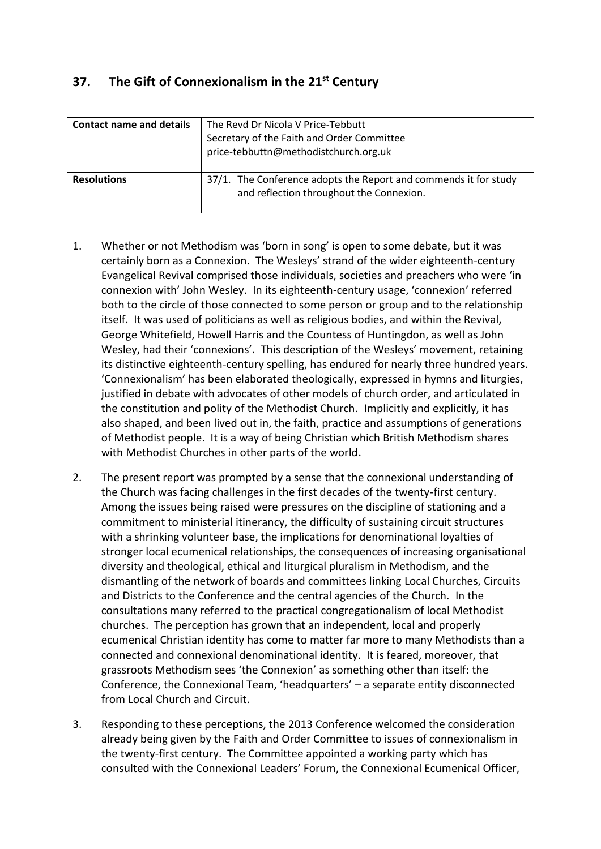# **37. The Gift of Connexionalism in the 21st Century**

| <b>Contact name and details</b> | The Revd Dr Nicola V Price-Tebbutt<br>Secretary of the Faith and Order Committee<br>price-tebbuttn@methodistchurch.org.uk |
|---------------------------------|---------------------------------------------------------------------------------------------------------------------------|
| <b>Resolutions</b>              | 37/1. The Conference adopts the Report and commends it for study<br>and reflection throughout the Connexion.              |

- 1. Whether or not Methodism was 'born in song' is open to some debate, but it was certainly born as a Connexion. The Wesleys' strand of the wider eighteenth-century Evangelical Revival comprised those individuals, societies and preachers who were 'in connexion with' John Wesley. In its eighteenth-century usage, 'connexion' referred both to the circle of those connected to some person or group and to the relationship itself. It was used of politicians as well as religious bodies, and within the Revival, George Whitefield, Howell Harris and the Countess of Huntingdon, as well as John Wesley, had their 'connexions'. This description of the Wesleys' movement, retaining its distinctive eighteenth-century spelling, has endured for nearly three hundred years. 'Connexionalism' has been elaborated theologically, expressed in hymns and liturgies, justified in debate with advocates of other models of church order, and articulated in the constitution and polity of the Methodist Church. Implicitly and explicitly, it has also shaped, and been lived out in, the faith, practice and assumptions of generations of Methodist people. It is a way of being Christian which British Methodism shares with Methodist Churches in other parts of the world.
- 2. The present report was prompted by a sense that the connexional understanding of the Church was facing challenges in the first decades of the twenty-first century. Among the issues being raised were pressures on the discipline of stationing and a commitment to ministerial itinerancy, the difficulty of sustaining circuit structures with a shrinking volunteer base, the implications for denominational loyalties of stronger local ecumenical relationships, the consequences of increasing organisational diversity and theological, ethical and liturgical pluralism in Methodism, and the dismantling of the network of boards and committees linking Local Churches, Circuits and Districts to the Conference and the central agencies of the Church. In the consultations many referred to the practical congregationalism of local Methodist churches. The perception has grown that an independent, local and properly ecumenical Christian identity has come to matter far more to many Methodists than a connected and connexional denominational identity. It is feared, moreover, that grassroots Methodism sees 'the Connexion' as something other than itself: the Conference, the Connexional Team, 'headquarters' – a separate entity disconnected from Local Church and Circuit.
- 3. Responding to these perceptions, the 2013 Conference welcomed the consideration already being given by the Faith and Order Committee to issues of connexionalism in the twenty-first century. The Committee appointed a working party which has consulted with the Connexional Leaders' Forum, the Connexional Ecumenical Officer,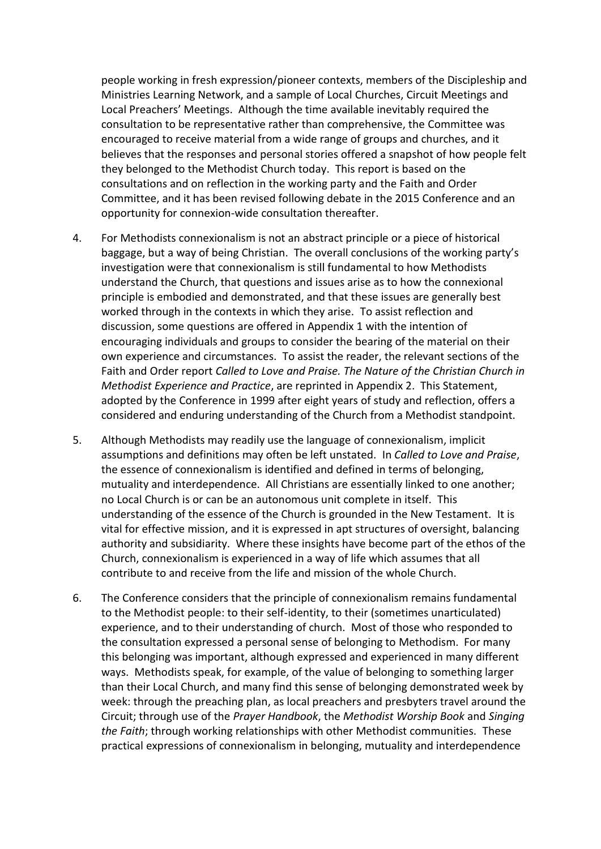people working in fresh expression/pioneer contexts, members of the Discipleship and Ministries Learning Network, and a sample of Local Churches, Circuit Meetings and Local Preachers' Meetings. Although the time available inevitably required the consultation to be representative rather than comprehensive, the Committee was encouraged to receive material from a wide range of groups and churches, and it believes that the responses and personal stories offered a snapshot of how people felt they belonged to the Methodist Church today. This report is based on the consultations and on reflection in the working party and the Faith and Order Committee, and it has been revised following debate in the 2015 Conference and an opportunity for connexion-wide consultation thereafter.

- 4. For Methodists connexionalism is not an abstract principle or a piece of historical baggage, but a way of being Christian. The overall conclusions of the working party's investigation were that connexionalism is still fundamental to how Methodists understand the Church, that questions and issues arise as to how the connexional principle is embodied and demonstrated, and that these issues are generally best worked through in the contexts in which they arise. To assist reflection and discussion, some questions are offered in Appendix 1 with the intention of encouraging individuals and groups to consider the bearing of the material on their own experience and circumstances. To assist the reader, the relevant sections of the Faith and Order report *Called to Love and Praise. The Nature of the Christian Church in Methodist Experience and Practice*, are reprinted in Appendix 2. This Statement, adopted by the Conference in 1999 after eight years of study and reflection, offers a considered and enduring understanding of the Church from a Methodist standpoint.
- 5. Although Methodists may readily use the language of connexionalism, implicit assumptions and definitions may often be left unstated. In *Called to Love and Praise*, the essence of connexionalism is identified and defined in terms of belonging, mutuality and interdependence. All Christians are essentially linked to one another; no Local Church is or can be an autonomous unit complete in itself. This understanding of the essence of the Church is grounded in the New Testament. It is vital for effective mission, and it is expressed in apt structures of oversight, balancing authority and subsidiarity. Where these insights have become part of the ethos of the Church, connexionalism is experienced in a way of life which assumes that all contribute to and receive from the life and mission of the whole Church.
- 6. The Conference considers that the principle of connexionalism remains fundamental to the Methodist people: to their self-identity, to their (sometimes unarticulated) experience, and to their understanding of church. Most of those who responded to the consultation expressed a personal sense of belonging to Methodism. For many this belonging was important, although expressed and experienced in many different ways. Methodists speak, for example, of the value of belonging to something larger than their Local Church, and many find this sense of belonging demonstrated week by week: through the preaching plan, as local preachers and presbyters travel around the Circuit; through use of the *Prayer Handbook*, the *Methodist Worship Book* and *Singing the Faith*; through working relationships with other Methodist communities. These practical expressions of connexionalism in belonging, mutuality and interdependence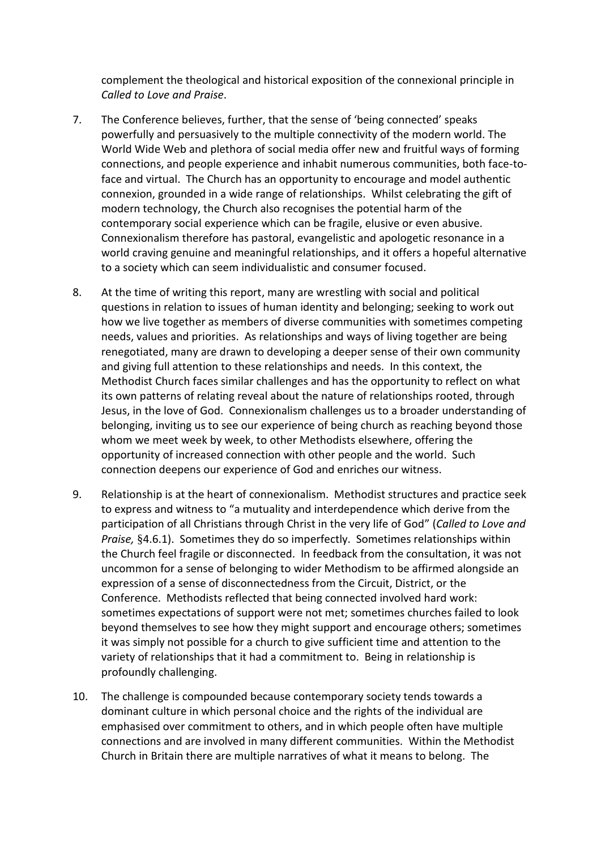complement the theological and historical exposition of the connexional principle in *Called to Love and Praise*.

- 7. The Conference believes, further, that the sense of 'being connected' speaks powerfully and persuasively to the multiple connectivity of the modern world. The World Wide Web and plethora of social media offer new and fruitful ways of forming connections, and people experience and inhabit numerous communities, both face-toface and virtual. The Church has an opportunity to encourage and model authentic connexion, grounded in a wide range of relationships. Whilst celebrating the gift of modern technology, the Church also recognises the potential harm of the contemporary social experience which can be fragile, elusive or even abusive. Connexionalism therefore has pastoral, evangelistic and apologetic resonance in a world craving genuine and meaningful relationships, and it offers a hopeful alternative to a society which can seem individualistic and consumer focused.
- 8. At the time of writing this report, many are wrestling with social and political questions in relation to issues of human identity and belonging; seeking to work out how we live together as members of diverse communities with sometimes competing needs, values and priorities. As relationships and ways of living together are being renegotiated, many are drawn to developing a deeper sense of their own community and giving full attention to these relationships and needs. In this context, the Methodist Church faces similar challenges and has the opportunity to reflect on what its own patterns of relating reveal about the nature of relationships rooted, through Jesus, in the love of God. Connexionalism challenges us to a broader understanding of belonging, inviting us to see our experience of being church as reaching beyond those whom we meet week by week, to other Methodists elsewhere, offering the opportunity of increased connection with other people and the world. Such connection deepens our experience of God and enriches our witness.
- 9. Relationship is at the heart of connexionalism. Methodist structures and practice seek to express and witness to "a mutuality and interdependence which derive from the participation of all Christians through Christ in the very life of God" (*Called to Love and Praise,* §4.6.1). Sometimes they do so imperfectly. Sometimes relationships within the Church feel fragile or disconnected. In feedback from the consultation, it was not uncommon for a sense of belonging to wider Methodism to be affirmed alongside an expression of a sense of disconnectedness from the Circuit, District, or the Conference. Methodists reflected that being connected involved hard work: sometimes expectations of support were not met; sometimes churches failed to look beyond themselves to see how they might support and encourage others; sometimes it was simply not possible for a church to give sufficient time and attention to the variety of relationships that it had a commitment to. Being in relationship is profoundly challenging.
- 10. The challenge is compounded because contemporary society tends towards a dominant culture in which personal choice and the rights of the individual are emphasised over commitment to others, and in which people often have multiple connections and are involved in many different communities. Within the Methodist Church in Britain there are multiple narratives of what it means to belong. The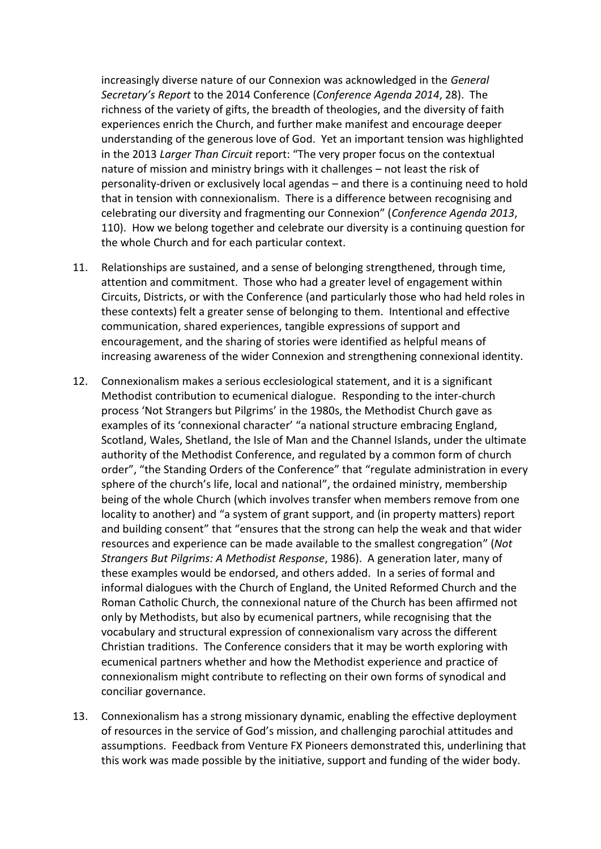increasingly diverse nature of our Connexion was acknowledged in the *General Secretary's Report* to the 2014 Conference (*Conference Agenda 2014*, 28). The richness of the variety of gifts, the breadth of theologies, and the diversity of faith experiences enrich the Church, and further make manifest and encourage deeper understanding of the generous love of God. Yet an important tension was highlighted in the 2013 *Larger Than Circuit* report: "The very proper focus on the contextual nature of mission and ministry brings with it challenges – not least the risk of personality-driven or exclusively local agendas – and there is a continuing need to hold that in tension with connexionalism. There is a difference between recognising and celebrating our diversity and fragmenting our Connexion" (*Conference Agenda 2013*, 110). How we belong together and celebrate our diversity is a continuing question for the whole Church and for each particular context.

- 11. Relationships are sustained, and a sense of belonging strengthened, through time, attention and commitment. Those who had a greater level of engagement within Circuits, Districts, or with the Conference (and particularly those who had held roles in these contexts) felt a greater sense of belonging to them. Intentional and effective communication, shared experiences, tangible expressions of support and encouragement, and the sharing of stories were identified as helpful means of increasing awareness of the wider Connexion and strengthening connexional identity.
- 12. Connexionalism makes a serious ecclesiological statement, and it is a significant Methodist contribution to ecumenical dialogue. Responding to the inter-church process 'Not Strangers but Pilgrims' in the 1980s, the Methodist Church gave as examples of its 'connexional character' "a national structure embracing England, Scotland, Wales, Shetland, the Isle of Man and the Channel Islands, under the ultimate authority of the Methodist Conference, and regulated by a common form of church order", "the Standing Orders of the Conference" that "regulate administration in every sphere of the church's life, local and national", the ordained ministry, membership being of the whole Church (which involves transfer when members remove from one locality to another) and "a system of grant support, and (in property matters) report and building consent" that "ensures that the strong can help the weak and that wider resources and experience can be made available to the smallest congregation" (*Not Strangers But Pilgrims: A Methodist Response*, 1986). A generation later, many of these examples would be endorsed, and others added. In a series of formal and informal dialogues with the Church of England, the United Reformed Church and the Roman Catholic Church, the connexional nature of the Church has been affirmed not only by Methodists, but also by ecumenical partners, while recognising that the vocabulary and structural expression of connexionalism vary across the different Christian traditions. The Conference considers that it may be worth exploring with ecumenical partners whether and how the Methodist experience and practice of connexionalism might contribute to reflecting on their own forms of synodical and conciliar governance.
- 13. Connexionalism has a strong missionary dynamic, enabling the effective deployment of resources in the service of God's mission, and challenging parochial attitudes and assumptions. Feedback from Venture FX Pioneers demonstrated this, underlining that this work was made possible by the initiative, support and funding of the wider body.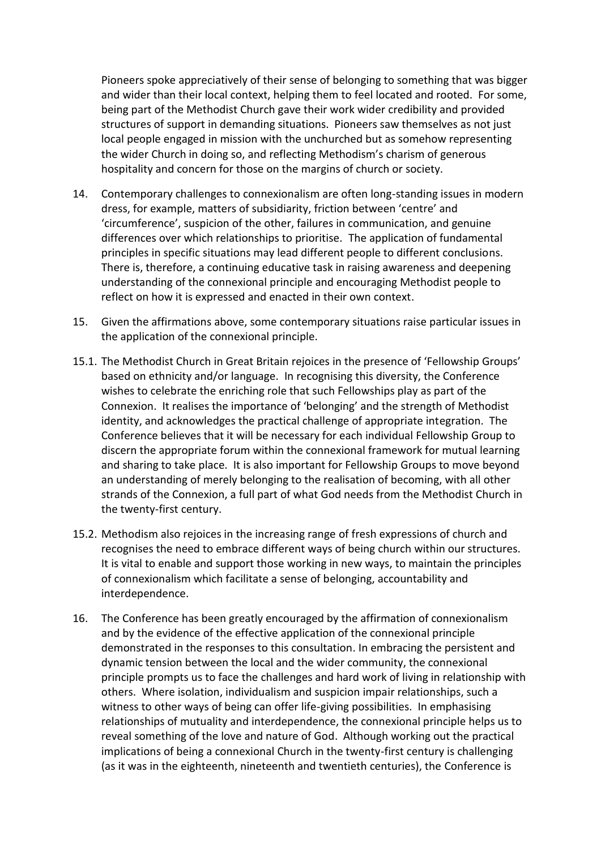Pioneers spoke appreciatively of their sense of belonging to something that was bigger and wider than their local context, helping them to feel located and rooted. For some, being part of the Methodist Church gave their work wider credibility and provided structures of support in demanding situations. Pioneers saw themselves as not just local people engaged in mission with the unchurched but as somehow representing the wider Church in doing so, and reflecting Methodism's charism of generous hospitality and concern for those on the margins of church or society.

- 14. Contemporary challenges to connexionalism are often long-standing issues in modern dress, for example, matters of subsidiarity, friction between 'centre' and 'circumference', suspicion of the other, failures in communication, and genuine differences over which relationships to prioritise. The application of fundamental principles in specific situations may lead different people to different conclusions. There is, therefore, a continuing educative task in raising awareness and deepening understanding of the connexional principle and encouraging Methodist people to reflect on how it is expressed and enacted in their own context.
- 15. Given the affirmations above, some contemporary situations raise particular issues in the application of the connexional principle.
- 15.1. The Methodist Church in Great Britain rejoices in the presence of 'Fellowship Groups' based on ethnicity and/or language. In recognising this diversity, the Conference wishes to celebrate the enriching role that such Fellowships play as part of the Connexion. It realises the importance of 'belonging' and the strength of Methodist identity, and acknowledges the practical challenge of appropriate integration. The Conference believes that it will be necessary for each individual Fellowship Group to discern the appropriate forum within the connexional framework for mutual learning and sharing to take place. It is also important for Fellowship Groups to move beyond an understanding of merely belonging to the realisation of becoming, with all other strands of the Connexion, a full part of what God needs from the Methodist Church in the twenty-first century.
- 15.2. Methodism also rejoices in the increasing range of fresh expressions of church and recognises the need to embrace different ways of being church within our structures. It is vital to enable and support those working in new ways, to maintain the principles of connexionalism which facilitate a sense of belonging, accountability and interdependence.
- 16. The Conference has been greatly encouraged by the affirmation of connexionalism and by the evidence of the effective application of the connexional principle demonstrated in the responses to this consultation. In embracing the persistent and dynamic tension between the local and the wider community, the connexional principle prompts us to face the challenges and hard work of living in relationship with others. Where isolation, individualism and suspicion impair relationships, such a witness to other ways of being can offer life-giving possibilities. In emphasising relationships of mutuality and interdependence, the connexional principle helps us to reveal something of the love and nature of God. Although working out the practical implications of being a connexional Church in the twenty-first century is challenging (as it was in the eighteenth, nineteenth and twentieth centuries), the Conference is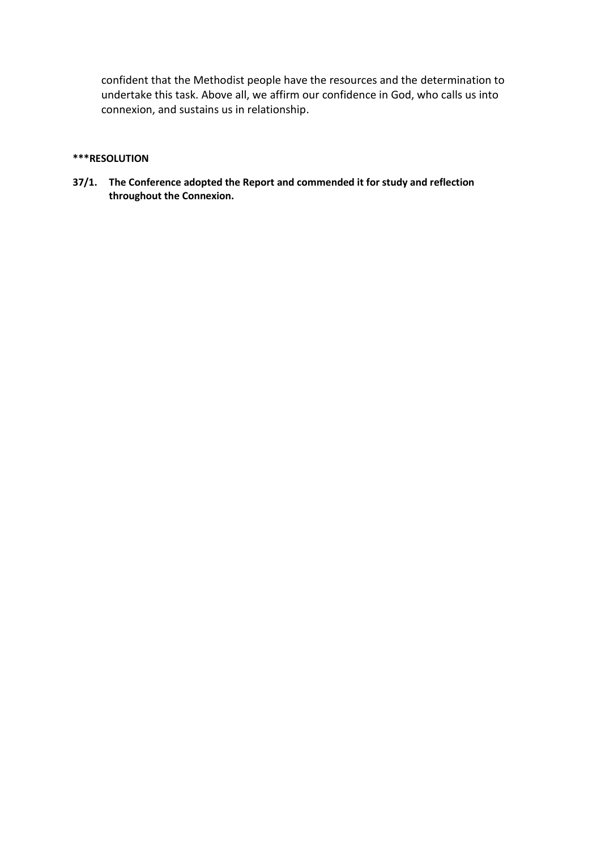confident that the Methodist people have the resources and the determination to undertake this task. Above all, we affirm our confidence in God, who calls us into connexion, and sustains us in relationship.

#### **\*\*\*RESOLUTION**

**37/1. The Conference adopted the Report and commended it for study and reflection throughout the Connexion.**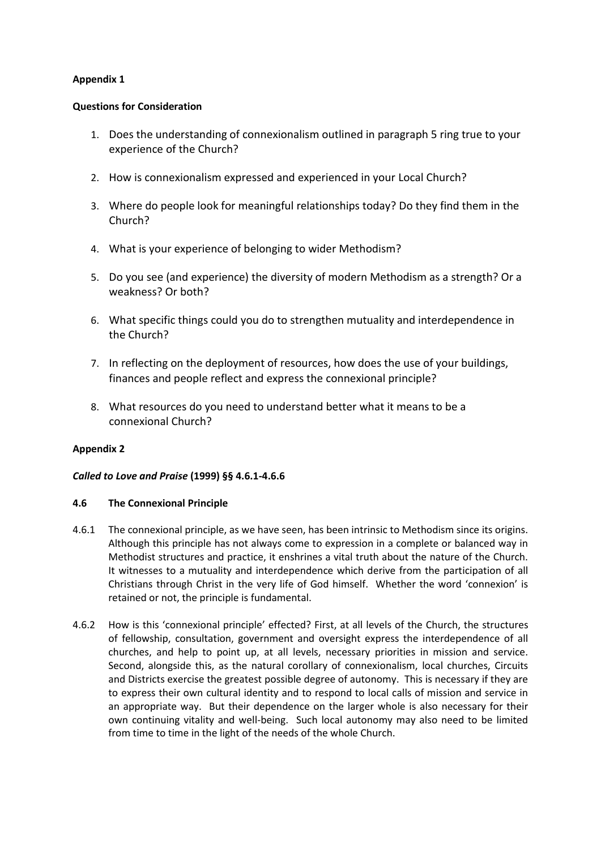## **Appendix 1**

### **Questions for Consideration**

- 1. Does the understanding of connexionalism outlined in paragraph 5 ring true to your experience of the Church?
- 2. How is connexionalism expressed and experienced in your Local Church?
- 3. Where do people look for meaningful relationships today? Do they find them in the Church?
- 4. What is your experience of belonging to wider Methodism?
- 5. Do you see (and experience) the diversity of modern Methodism as a strength? Or a weakness? Or both?
- 6. What specific things could you do to strengthen mutuality and interdependence in the Church?
- 7. In reflecting on the deployment of resources, how does the use of your buildings, finances and people reflect and express the connexional principle?
- 8. What resources do you need to understand better what it means to be a connexional Church?

## **Appendix 2**

## *Called to Love and Praise* **(1999) §§ 4.6.1-4.6.6**

#### **4.6 The Connexional Principle**

- 4.6.1 The connexional principle, as we have seen, has been intrinsic to Methodism since its origins. Although this principle has not always come to expression in a complete or balanced way in Methodist structures and practice, it enshrines a vital truth about the nature of the Church. It witnesses to a mutuality and interdependence which derive from the participation of all Christians through Christ in the very life of God himself. Whether the word 'connexion' is retained or not, the principle is fundamental.
- 4.6.2 How is this 'connexional principle' effected? First, at all levels of the Church, the structures of fellowship, consultation, government and oversight express the interdependence of all churches, and help to point up, at all levels, necessary priorities in mission and service. Second, alongside this, as the natural corollary of connexionalism, local churches, Circuits and Districts exercise the greatest possible degree of autonomy. This is necessary if they are to express their own cultural identity and to respond to local calls of mission and service in an appropriate way. But their dependence on the larger whole is also necessary for their own continuing vitality and well-being. Such local autonomy may also need to be limited from time to time in the light of the needs of the whole Church.